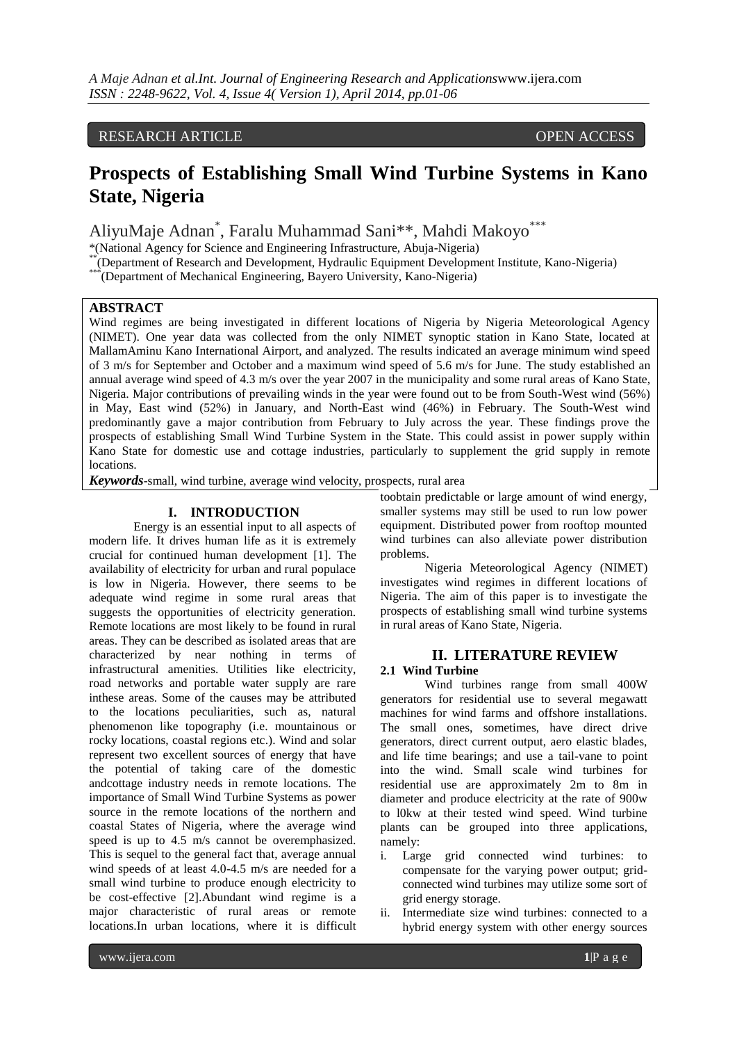# RESEARCH ARTICLE **CONTRACT ARTICLE** And the open access of the open access of the open access of the open access

# **Prospects of Establishing Small Wind Turbine Systems in Kano State, Nigeria**

AliyuMaje Adnan\* , Faralu Muhammad Sani\*\*, Mahdi Makoyo\*\*\*

\*(National Agency for Science and Engineering Infrastructure, Abuja-Nigeria)

\*\* (Department of Research and Development, Hydraulic Equipment Development Institute, Kano-Nigeria)

\*\*\*\*(Department of Mechanical Engineering, Bayero University, Kano-Nigeria)

# **ABSTRACT**

Wind regimes are being investigated in different locations of Nigeria by Nigeria Meteorological Agency (NIMET). One year data was collected from the only NIMET synoptic station in Kano State, located at MallamAminu Kano International Airport, and analyzed. The results indicated an average minimum wind speed of 3 m/s for September and October and a maximum wind speed of 5.6 m/s for June. The study established an annual average wind speed of 4.3 m/s over the year 2007 in the municipality and some rural areas of Kano State, Nigeria. Major contributions of prevailing winds in the year were found out to be from South-West wind (56%) in May, East wind (52%) in January, and North-East wind (46%) in February. The South-West wind predominantly gave a major contribution from February to July across the year. These findings prove the prospects of establishing Small Wind Turbine System in the State. This could assist in power supply within Kano State for domestic use and cottage industries, particularly to supplement the grid supply in remote locations.

*Keywords*-small, wind turbine, average wind velocity, prospects, rural area

## **I. INTRODUCTION**

Energy is an essential input to all aspects of modern life. It drives human life as it is extremely crucial for continued human development [1]. The availability of electricity for urban and rural populace is low in Nigeria. However, there seems to be adequate wind regime in some rural areas that suggests the opportunities of electricity generation. Remote locations are most likely to be found in rural areas. They can be described as isolated areas that are characterized by near nothing in terms of infrastructural amenities. Utilities like electricity, road networks and portable water supply are rare inthese areas. Some of the causes may be attributed to the locations peculiarities, such as, natural phenomenon like topography (i.e. mountainous or rocky locations, coastal regions etc.). Wind and solar represent two excellent sources of energy that have the potential of taking care of the domestic andcottage industry needs in remote locations. The importance of Small Wind Turbine Systems as power source in the remote locations of the northern and coastal States of Nigeria, where the average wind speed is up to 4.5 m/s cannot be overemphasized. This is sequel to the general fact that, average annual wind speeds of at least 4.0-4.5 m/s are needed for a small wind turbine to produce enough electricity to be cost-effective [2].Abundant wind regime is a major characteristic of rural areas or remote locations.In urban locations, where it is difficult

toobtain predictable or large amount of wind energy, smaller systems may still be used to run low power equipment. Distributed power from rooftop mounted wind turbines can also alleviate power distribution problems.

Nigeria Meteorological Agency (NIMET) investigates wind regimes in different locations of Nigeria. The aim of this paper is to investigate the prospects of establishing small wind turbine systems in rural areas of Kano State, Nigeria.

## **II. LITERATURE REVIEW**

#### **2.1 Wind Turbine**

Wind turbines range from small 400W generators for residential use to several megawatt machines for wind farms and offshore installations. The small ones, sometimes, have direct drive generators, direct current output, aero elastic blades, and life time bearings; and use a tail-vane to point into the wind. Small scale wind turbines for residential use are approximately 2m to 8m in diameter and produce electricity at the rate of 900w to l0kw at their tested wind speed. Wind turbine plants can be grouped into three applications, namely:

- i. Large grid connected wind turbines: to compensate for the varying power output; gridconnected wind turbines may utilize some sort of grid energy storage.
- ii. Intermediate size wind turbines: connected to a hybrid energy system with other energy sources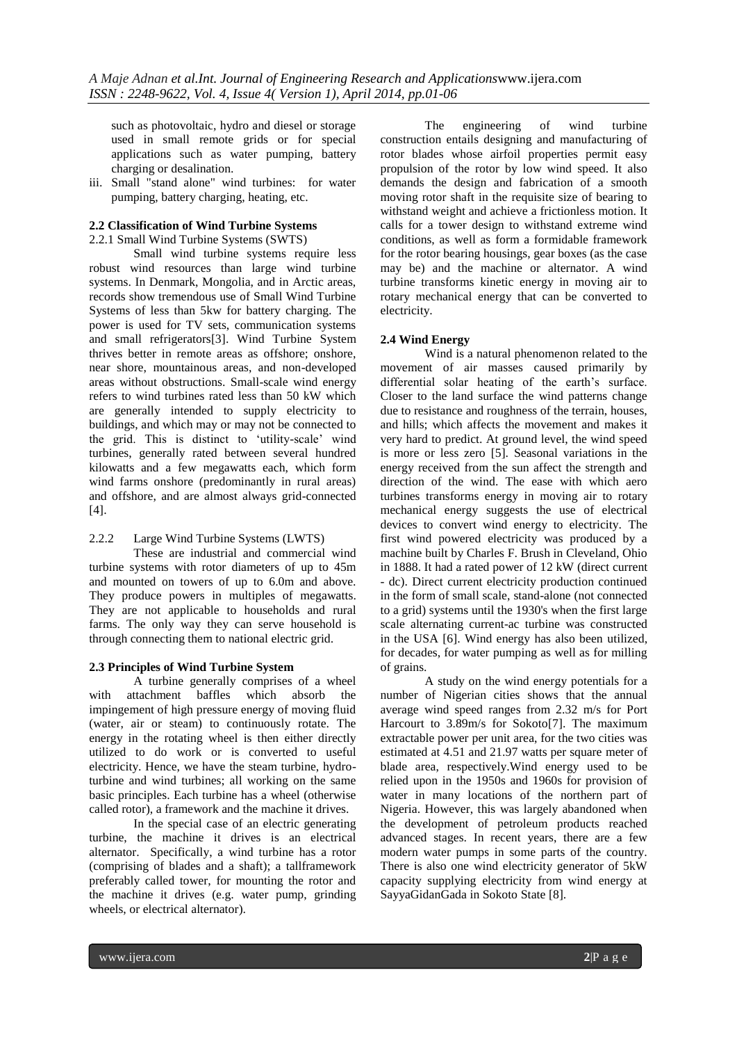such as photovoltaic, hydro and diesel or storage used in small remote grids or for special applications such as water pumping, battery charging or desalination.

iii. Small "stand alone" wind turbines: for water pumping, battery charging, heating, etc.

## **2.2 Classification of Wind Turbine Systems**

2.2.1 Small Wind Turbine Systems (SWTS)

Small wind turbine systems require less robust wind resources than large wind turbine systems. In Denmark, Mongolia, and in Arctic areas, records show tremendous use of Small Wind Turbine Systems of less than 5kw for battery charging. The power is used for TV sets, communication systems and small refrigerators[3]. Wind Turbine System thrives better in remote areas as offshore; onshore, near shore, mountainous areas, and non-developed areas without obstructions. Small-scale wind energy refers to wind turbines rated less than 50 kW which are generally intended to supply electricity to buildings, and which may or may not be connected to the grid. This is distinct to 'utility-scale' wind turbines, generally rated between several hundred kilowatts and a few megawatts each, which form wind farms onshore (predominantly in rural areas) and offshore, and are almost always grid-connected  $[4]$ .

# 2.2.2 Large Wind Turbine Systems (LWTS)

These are industrial and commercial wind turbine systems with rotor diameters of up to 45m and mounted on towers of up to 6.0m and above. They produce powers in multiples of megawatts. They are not applicable to households and rural farms. The only way they can serve household is through connecting them to national electric grid.

## **2.3 Principles of Wind Turbine System**

A turbine generally comprises of a wheel with attachment baffles which absorb the impingement of high pressure energy of moving fluid (water, air or steam) to continuously rotate. The energy in the rotating wheel is then either directly utilized to do work or is converted to useful electricity. Hence, we have the steam turbine, hydroturbine and wind turbines; all working on the same basic principles. Each turbine has a wheel (otherwise called rotor), a framework and the machine it drives.

In the special case of an electric generating turbine, the machine it drives is an electrical alternator. Specifically, a wind turbine has a rotor (comprising of blades and a shaft); a tallframework preferably called tower, for mounting the rotor and the machine it drives (e.g. water pump, grinding wheels, or electrical alternator).

The engineering of wind turbine construction entails designing and manufacturing of rotor blades whose airfoil properties permit easy propulsion of the rotor by low wind speed. It also demands the design and fabrication of a smooth moving rotor shaft in the requisite size of bearing to withstand weight and achieve a frictionless motion. It calls for a tower design to withstand extreme wind conditions, as well as form a formidable framework for the rotor bearing housings, gear boxes (as the case may be) and the machine or alternator. A wind turbine transforms kinetic energy in moving air to rotary mechanical energy that can be converted to electricity.

## **2.4 Wind Energy**

Wind is a natural phenomenon related to the movement of air masses caused primarily by differential solar heating of the earth's surface. Closer to the land surface the wind patterns change due to resistance and roughness of the terrain, houses, and hills; which affects the movement and makes it very hard to predict. At ground level, the wind speed is more or less zero [5]. Seasonal variations in the energy received from the sun affect the strength and direction of the wind. The ease with which aero turbines transforms energy in moving air to rotary mechanical energy suggests the use of electrical devices to convert wind energy to electricity. The first wind powered electricity was produced by a machine built by Charles F. Brush in Cleveland, Ohio in 1888. It had a rated power of 12 kW (direct current - dc). Direct current electricity production continued in the form of small scale, stand-alone (not connected to a grid) systems until the 1930's when the first large scale alternating current-ac turbine was constructed in the USA [6]. Wind energy has also been utilized, for decades, for water pumping as well as for milling of grains.

A study on the wind energy potentials for a number of Nigerian cities shows that the annual average wind speed ranges from 2.32 m/s for Port Harcourt to 3.89m/s for Sokoto[7]. The maximum extractable power per unit area, for the two cities was estimated at 4.51 and 21.97 watts per square meter of blade area, respectively.Wind energy used to be relied upon in the 1950s and 1960s for provision of water in many locations of the northern part of Nigeria. However, this was largely abandoned when the development of petroleum products reached advanced stages. In recent years, there are a few modern water pumps in some parts of the country. There is also one wind electricity generator of 5kW capacity supplying electricity from wind energy at SayyaGidanGada in Sokoto State [8].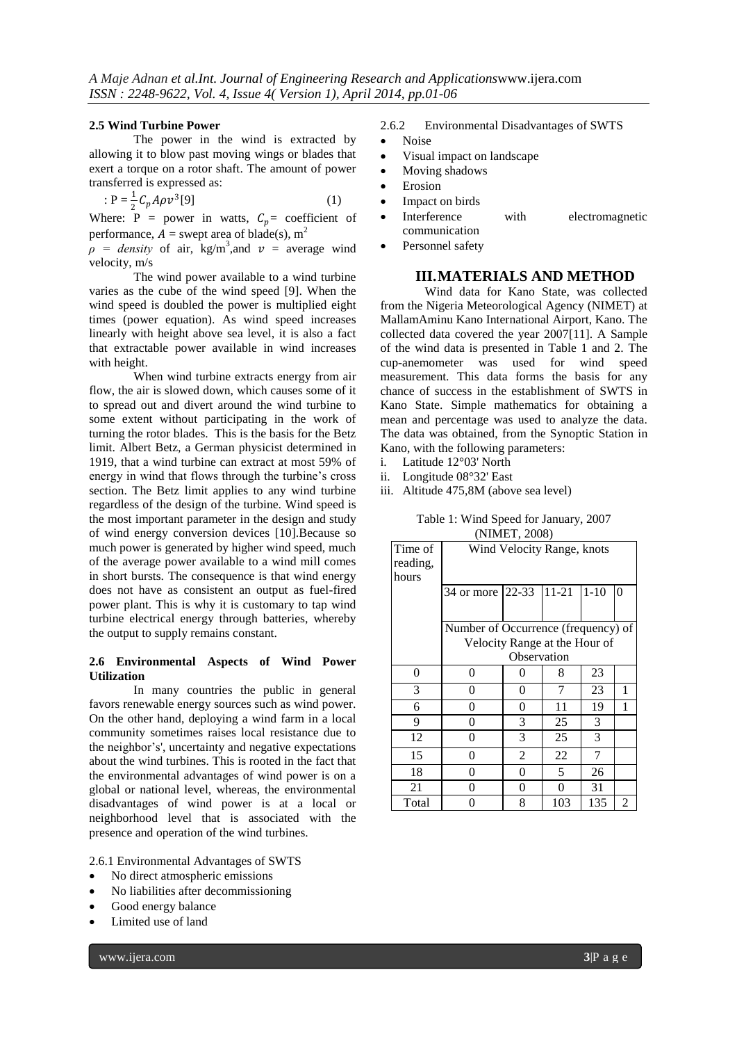#### **2.5 Wind Turbine Power**

The power in the wind is extracted by allowing it to blow past moving wings or blades that exert a torque on a rotor shaft. The amount of power transferred is expressed as:

$$
P = \frac{1}{2} C_p A \rho v^3 [9]
$$
 (1)

Where:  $P = power$  in watts,  $C_p = coefficient$  of performance,  $A =$  swept area of blade(s), m<sup>2</sup>

 $\rho$  = *density* of air, kg/m<sup>3</sup>, and  $v$  = average wind velocity, m/s

The wind power available to a wind turbine varies as the cube of the wind speed [9]. When the wind speed is doubled the power is multiplied eight times (power equation). As wind speed increases linearly with height above sea level, it is also a fact that extractable power available in wind increases with height.

When wind turbine extracts energy from air flow, the air is slowed down, which causes some of it to spread out and divert around the wind turbine to some extent without participating in the work of turning the rotor blades. This is the basis for the Betz limit. Albert Betz, a German physicist determined in 1919, that a wind turbine can extract at most 59% of energy in wind that flows through the turbine's cross section. The Betz limit applies to any wind turbine regardless of the design of the turbine. Wind speed is the most important parameter in the design and study of wind energy conversion devices [10].Because so much power is generated by higher wind speed, much of the average power available to a wind mill comes in short bursts. The consequence is that wind energy does not have as consistent an output as fuel-fired power plant. This is why it is customary to tap wind turbine electrical energy through batteries, whereby the output to supply remains constant.

#### **2.6 Environmental Aspects of Wind Power Utilization**

In many countries the public in general favors renewable energy sources such as wind power. On the other hand, deploying a wind farm in a local community sometimes raises local resistance due to the neighbor's', uncertainty and negative expectations about the wind turbines. This is rooted in the fact that the environmental advantages of wind power is on a global or national level, whereas, the environmental disadvantages of wind power is at a local or neighborhood level that is associated with the presence and operation of the wind turbines.

2.6.1 Environmental Advantages of SWTS

- No direct atmospheric emissions
- No liabilities after decommissioning
- Good energy balance
- Limited use of land
	- www.ijera.com **3**|P a g e
- 2.6.2 Environmental Disadvantages of SWTS
- Noise
- Visual impact on landscape
- Moving shadows
- Erosion
- Impact on birds
- Interference with electromagnetic communication
- Personnel safety

# **III.MATERIALS AND METHOD**

Wind data for Kano State, was collected from the Nigeria Meteorological Agency (NIMET) at MallamAminu Kano International Airport, Kano. The collected data covered the year 2007[11]. A Sample of the wind data is presented in Table 1 and 2. The cup-anemometer was used for measurement. This data forms the basis for any chance of success in the establishment of SWTS in Kano State. Simple mathematics for obtaining a mean and percentage was used to analyze the data. The data was obtained, from the Synoptic Station in Kano, with the following parameters:

- i. Latitude 12°03' North
- ii. Longitude 08°32' East
- iii. Altitude 475,8M (above sea level)

Table 1: Wind Speed for January, 2007 (NIMET, 2008)

| Time of<br>reading,<br>hours | Wind Velocity Range, knots          |           |           |          |   |  |  |
|------------------------------|-------------------------------------|-----------|-----------|----------|---|--|--|
|                              | 34 or more                          | $22 - 33$ | $11 - 21$ | $1 - 10$ | 0 |  |  |
|                              | Number of Occurrence (frequency) of |           |           |          |   |  |  |
|                              | Velocity Range at the Hour of       |           |           |          |   |  |  |
|                              | Observation                         |           |           |          |   |  |  |
| 0                            | 0                                   | 0         | 8         | 23       |   |  |  |
| 3                            | 0                                   | 0         | 7         | 23       | 1 |  |  |
| 6                            | 0                                   | 0         | 11        | 19       | 1 |  |  |
| 9                            | 0                                   | 3         | 25        | 3        |   |  |  |
| 12                           | 0                                   | 3         | 25        | 3        |   |  |  |
| 15                           | 0                                   | 2         | 22        | 7        |   |  |  |
| 18                           | 0                                   | 0         | 5         | 26       |   |  |  |
| 21                           | 0                                   | 0         | $\theta$  | 31       |   |  |  |
| Total                        | 0                                   | 8         | 103       | 135      | 2 |  |  |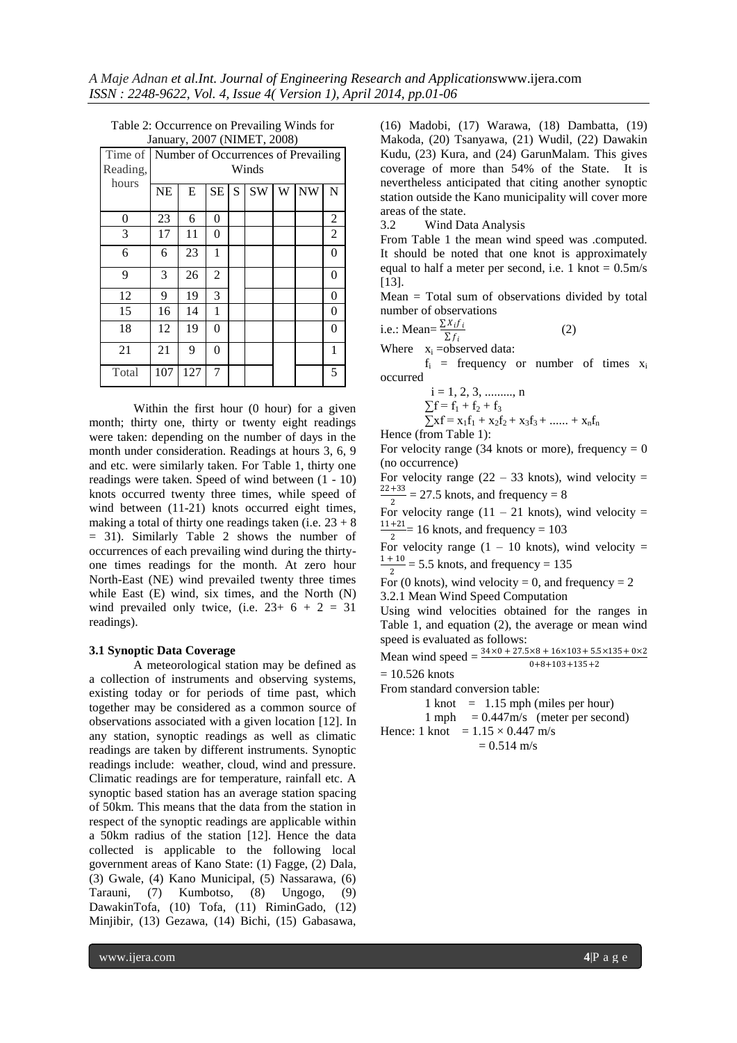| Time of  | $\frac{1}{2}$<br>Number of Occurrences of Prevailing |     |                |   |    |   |           |                |
|----------|------------------------------------------------------|-----|----------------|---|----|---|-----------|----------------|
| Reading, | Winds                                                |     |                |   |    |   |           |                |
| hours    | <b>NE</b>                                            | E   | <b>SE</b>      | S | SW | W | <b>NW</b> | N              |
| 0        | 23                                                   | 6   | 0              |   |    |   |           | $\overline{c}$ |
| 3        | 17                                                   | 11  | 0              |   |    |   |           | $\overline{2}$ |
| 6        | 6                                                    | 23  | 1              |   |    |   |           | $\overline{0}$ |
| 9        | 3                                                    | 26  | $\overline{2}$ |   |    |   |           | 0              |
| 12       | 9                                                    | 19  | 3              |   |    |   |           | 0              |
| 15       | 16                                                   | 14  | 1              |   |    |   |           | 0              |
| 18       | 12                                                   | 19  | 0              |   |    |   |           | 0              |
| 21       | 21                                                   | 9   | 0              |   |    |   |           | 1              |
| Total    | 107                                                  | 127 | 7              |   |    |   |           | 5              |

Table 2: Occurrence on Prevailing Winds for January, 2007 (NIMET, 2008)

Within the first hour (0 hour) for a given month; thirty one, thirty or twenty eight readings were taken: depending on the number of days in the month under consideration. Readings at hours 3, 6, 9 and etc. were similarly taken. For Table 1, thirty one readings were taken. Speed of wind between (1 - 10) knots occurred twenty three times, while speed of wind between (11-21) knots occurred eight times, making a total of thirty one readings taken (i.e.  $23 + 8$ ) = 31). Similarly Table 2 shows the number of occurrences of each prevailing wind during the thirtyone times readings for the month. At zero hour North-East (NE) wind prevailed twenty three times while East (E) wind, six times, and the North (N) wind prevailed only twice, (i.e.  $23+ 6 + 2 = 31$ readings).

#### **3.1 Synoptic Data Coverage**

A meteorological station may be defined as a collection of instruments and observing systems, existing today or for periods of time past, which together may be considered as a common source of observations associated with a given location [12]. In any station, synoptic readings as well as climatic readings are taken by different instruments. Synoptic readings include: weather, cloud, wind and pressure. Climatic readings are for temperature, rainfall etc. A synoptic based station has an average station spacing of 50km. This means that the data from the station in respect of the synoptic readings are applicable within a 50km radius of the station [12]. Hence the data collected is applicable to the following local government areas of Kano State: (1) Fagge, (2) Dala, (3) Gwale, (4) Kano Municipal, (5) Nassarawa, (6) Tarauni, (7) Kumbotso, (8) Ungogo, (9) DawakinTofa, (10) Tofa, (11) RiminGado, (12) Minjibir, (13) Gezawa, (14) Bichi, (15) Gabasawa,

(16) Madobi, (17) Warawa, (18) Dambatta, (19) Makoda, (20) Tsanyawa, (21) Wudil, (22) Dawakin Kudu, (23) Kura, and (24) GarunMalam. This gives coverage of more than 54% of the State. It is nevertheless anticipated that citing another synoptic station outside the Kano municipality will cover more areas of the state.

3.2 Wind Data Analysis

From Table 1 the mean wind speed was .computed. It should be noted that one knot is approximately equal to half a meter per second, i.e. 1 knot  $= 0.5$ m/s [13].

Mean = Total sum of observations divided by total number of observations

i.e.: Mean=
$$
\frac{\sum x_i f_i}{\sum f_i}
$$
 (2)

Where  $x_i = observed data$ :

 $f_i$  = frequency or number of times  $x_i$ occurred

$$
i = 1, 2, 3, \dots, n
$$
  
\n
$$
\sum f = f_1 + f_2 + f_3
$$
  
\n
$$
\sum xf = x_1f_1 + x_2f_2 + x_3f_3 + \dots + x_nf_n
$$

Hence (from Table 1):

For velocity range (34 knots or more), frequency  $= 0$ (no occurrence)

For velocity range  $(22 - 33 \text{ knots})$ , wind velocity = 22+33  $\frac{+55}{2}$  = 27.5 knots, and frequency = 8

For velocity range  $(11 - 21$  knots), wind velocity = 11+21  $\frac{12}{2}$  = 16 knots, and frequency = 103

For velocity range  $(1 - 10 \text{ knots})$ , wind velocity =  $1 + 10$  $\frac{10}{2}$  = 5.5 knots, and frequency = 135

For (0 knots), wind velocity = 0, and frequency =  $2$ 

3.2.1 Mean Wind Speed Computation

Using wind velocities obtained for the ranges in Table 1, and equation (2), the average or mean wind speed is evaluated as follows:

Mean wind speed =  $\frac{34 \times 0 + 27.5 \times 8 + 16 \times 103 + 5.5 \times 135 + 0 \times 2}{28}$  $0+8+103+135+2$ 

 $= 10.526$  knots

From standard conversion table:

 $1 \text{ knot} = 1.15 \text{ mph}$  (miles per hour)

1 mph  $= 0.447 \text{m/s}$  (meter per second) Hence: 1 knot =  $1.15 \times 0.447$  m/s

 $= 0.514$  m/s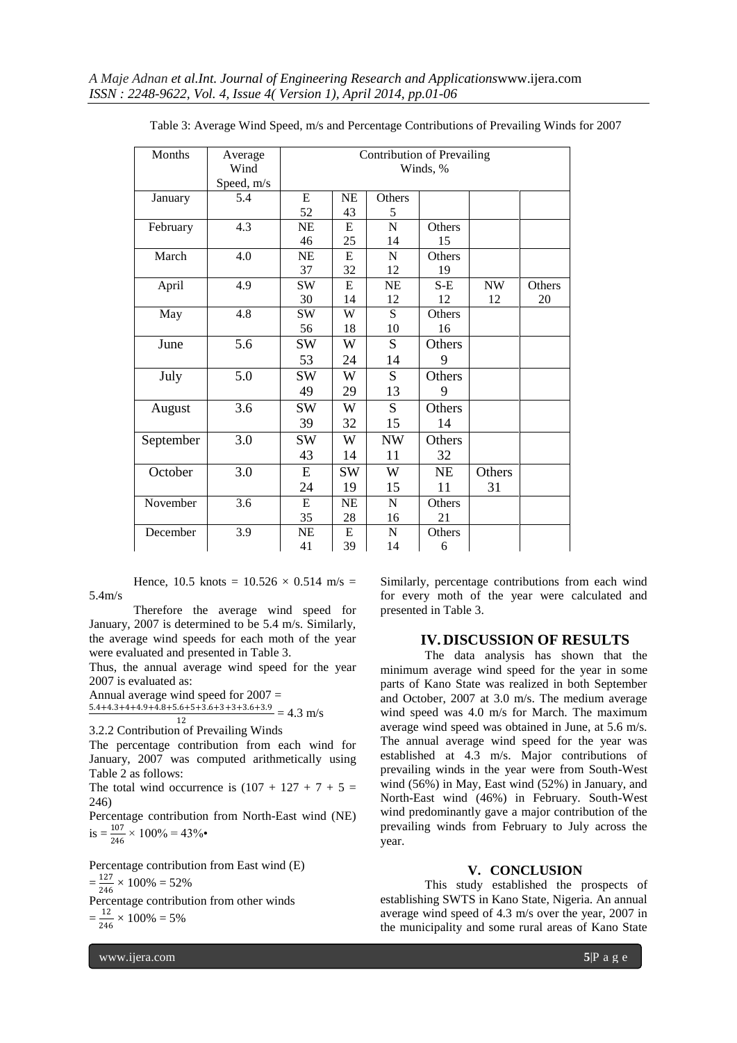| Months    | Average<br>Wind<br>Speed, m/s | <b>Contribution of Prevailing</b><br>Winds, % |           |             |           |                          |        |
|-----------|-------------------------------|-----------------------------------------------|-----------|-------------|-----------|--------------------------|--------|
| January   | 5.4                           | E                                             | NE        | Others      |           |                          |        |
|           |                               | 52                                            | 43        | 5           |           |                          |        |
| February  | 4.3                           | <b>NE</b>                                     | E         | N           | Others    |                          |        |
|           |                               | 46                                            | 25        | 14          | 15        |                          |        |
| March     | 4.0                           | <b>NE</b>                                     | E         | N           | Others    |                          |        |
|           |                               | 37                                            | 32        | 12          | 19        |                          |        |
| April     | 4.9                           | <b>SW</b>                                     | E         | NE          | $S-E$     | $\ensuremath{\text{NW}}$ | Others |
|           |                               | 30                                            | 14        | 12          | 12        | 12                       | 20     |
| May       | 4.8                           | <b>SW</b>                                     | W         | S           | Others    |                          |        |
|           |                               | 56                                            | 18        | 10          | 16        |                          |        |
| June      | 5.6                           | <b>SW</b>                                     | W         | S           | Others    |                          |        |
|           |                               | 53                                            | 24        | 14          | 9         |                          |        |
| July      | 5.0                           | <b>SW</b>                                     | W         | S           | Others    |                          |        |
|           |                               | 49                                            | 29        | 13          | 9         |                          |        |
| August    | 3.6                           | <b>SW</b>                                     | W         | S           | Others    |                          |        |
|           |                               | 39                                            | 32        | 15          | 14        |                          |        |
| September | 3.0                           | <b>SW</b>                                     | W         | <b>NW</b>   | Others    |                          |        |
|           |                               | 43                                            | 14        | 11          | 32        |                          |        |
| October   | 3.0                           | E                                             | <b>SW</b> | W           | <b>NE</b> | Others                   |        |
|           |                               | 24                                            | 19        | 15          | 11        | 31                       |        |
| November  | 3.6                           | E                                             | <b>NE</b> | $\mathbf N$ | Others    |                          |        |
|           |                               | 35                                            | 28        | 16          | 21        |                          |        |
| December  | 3.9                           | NE                                            | E         | N           | Others    |                          |        |
|           |                               | 41                                            | 39        | 14          | 6         |                          |        |

Table 3: Average Wind Speed, m/s and Percentage Contributions of Prevailing Winds for 2007

Hence, 10.5 knots =  $10.526 \times 0.514$  m/s = 5.4m/s

Therefore the average wind speed for January, 2007 is determined to be 5.4 m/s. Similarly, the average wind speeds for each moth of the year were evaluated and presented in Table 3.

Thus, the annual average wind speed for the year 2007 is evaluated as:

Annual average wind speed for 2007 =

 $\frac{5.4+4.3+4+4.9+4.8+5.6+5+3.6+3+3+3.6+3.9}{13} = 4.3 \text{ m/s}$ 12

3.2.2 Contribution of Prevailing Winds

The percentage contribution from each wind for January, 2007 was computed arithmetically using Table 2 as follows:

The total wind occurrence is  $(107 + 127 + 7 + 5)$ 246)

Percentage contribution from North-East wind (NE)  $is = \frac{107}{246} \times 100\% = 43\%$ 

Percentage contribution from East wind (E)

 $=\frac{127}{316} \times 100\% = 52\%$ 

246 Percentage contribution from other winds

 $=\frac{12}{344}$  $\frac{12}{246} \times 100\% = 5\%$ 

Similarly, percentage contributions from each wind for every moth of the year were calculated and presented in Table 3.

## **IV.DISCUSSION OF RESULTS**

The data analysis has shown that the minimum average wind speed for the year in some parts of Kano State was realized in both September and October, 2007 at 3.0 m/s. The medium average wind speed was 4.0 m/s for March. The maximum average wind speed was obtained in June, at 5.6 m/s. The annual average wind speed for the year was established at 4.3 m/s. Major contributions of prevailing winds in the year were from South-West wind (56%) in May, East wind (52%) in January, and North-East wind (46%) in February. South-West wind predominantly gave a major contribution of the prevailing winds from February to July across the year.

#### **V. CONCLUSION**

This study established the prospects of establishing SWTS in Kano State, Nigeria. An annual average wind speed of 4.3 m/s over the year, 2007 in the municipality and some rural areas of Kano State